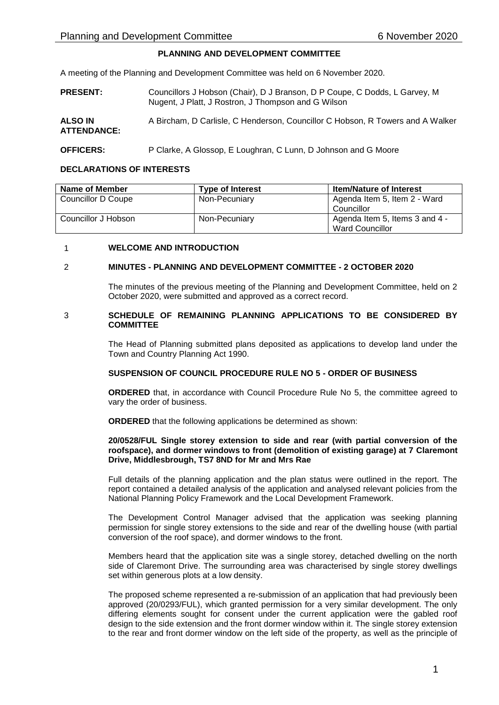# **PLANNING AND DEVELOPMENT COMMITTEE**

A meeting of the Planning and Development Committee was held on 6 November 2020.

- **PRESENT:** Councillors J Hobson (Chair), D J Branson, D P Coupe, C Dodds, L Garvey, M Nugent, J Platt, J Rostron, J Thompson and G Wilson
- **ALSO IN ATTENDANCE:** A Bircham, D Carlisle, C Henderson, Councillor C Hobson, R Towers and A Walker

# **OFFICERS:** P Clarke, A Glossop, E Loughran, C Lunn, D Johnson and G Moore

## **DECLARATIONS OF INTERESTS**

| Name of Member      | <b>Type of Interest</b> | <b>Item/Nature of Interest</b>                    |
|---------------------|-------------------------|---------------------------------------------------|
| Councillor D Coupe  | Non-Pecuniary           | Agenda Item 5, Item 2 - Ward<br>Councillor        |
| Councillor J Hobson | Non-Pecuniary           | Agenda Item 5, Items 3 and 4 -<br>Ward Councillor |

## 1 **WELCOME AND INTRODUCTION**

## 2 **MINUTES - PLANNING AND DEVELOPMENT COMMITTEE - 2 OCTOBER 2020**

The minutes of the previous meeting of the Planning and Development Committee, held on 2 October 2020, were submitted and approved as a correct record.

#### 3 **SCHEDULE OF REMAINING PLANNING APPLICATIONS TO BE CONSIDERED BY COMMITTEE**

The Head of Planning submitted plans deposited as applications to develop land under the Town and Country Planning Act 1990.

# **SUSPENSION OF COUNCIL PROCEDURE RULE NO 5 - ORDER OF BUSINESS**

**ORDERED** that, in accordance with Council Procedure Rule No 5, the committee agreed to vary the order of business.

**ORDERED** that the following applications be determined as shown:

### **20/0528/FUL Single storey extension to side and rear (with partial conversion of the roofspace), and dormer windows to front (demolition of existing garage) at 7 Claremont Drive, Middlesbrough, TS7 8ND for Mr and Mrs Rae**

Full details of the planning application and the plan status were outlined in the report. The report contained a detailed analysis of the application and analysed relevant policies from the National Planning Policy Framework and the Local Development Framework.

The Development Control Manager advised that the application was seeking planning permission for single storey extensions to the side and rear of the dwelling house (with partial conversion of the roof space), and dormer windows to the front.

Members heard that the application site was a single storey, detached dwelling on the north side of Claremont Drive. The surrounding area was characterised by single storey dwellings set within generous plots at a low density.

The proposed scheme represented a re-submission of an application that had previously been approved (20/0293/FUL), which granted permission for a very similar development. The only differing elements sought for consent under the current application were the gabled roof design to the side extension and the front dormer window within it. The single storey extension to the rear and front dormer window on the left side of the property, as well as the principle of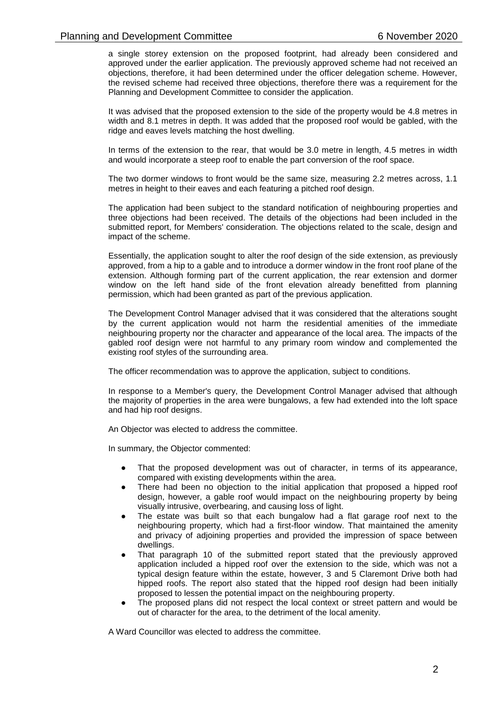a single storey extension on the proposed footprint, had already been considered and approved under the earlier application. The previously approved scheme had not received an objections, therefore, it had been determined under the officer delegation scheme. However, the revised scheme had received three objections, therefore there was a requirement for the Planning and Development Committee to consider the application.

It was advised that the proposed extension to the side of the property would be 4.8 metres in width and 8.1 metres in depth. It was added that the proposed roof would be gabled, with the ridge and eaves levels matching the host dwelling.

In terms of the extension to the rear, that would be 3.0 metre in length, 4.5 metres in width and would incorporate a steep roof to enable the part conversion of the roof space.

The two dormer windows to front would be the same size, measuring 2.2 metres across, 1.1 metres in height to their eaves and each featuring a pitched roof design.

The application had been subject to the standard notification of neighbouring properties and three objections had been received. The details of the objections had been included in the submitted report, for Members' consideration. The objections related to the scale, design and impact of the scheme.

Essentially, the application sought to alter the roof design of the side extension, as previously approved, from a hip to a gable and to introduce a dormer window in the front roof plane of the extension. Although forming part of the current application, the rear extension and dormer window on the left hand side of the front elevation already benefitted from planning permission, which had been granted as part of the previous application.

The Development Control Manager advised that it was considered that the alterations sought by the current application would not harm the residential amenities of the immediate neighbouring property nor the character and appearance of the local area. The impacts of the gabled roof design were not harmful to any primary room window and complemented the existing roof styles of the surrounding area.

The officer recommendation was to approve the application, subject to conditions.

In response to a Member's query, the Development Control Manager advised that although the majority of properties in the area were bungalows, a few had extended into the loft space and had hip roof designs.

An Objector was elected to address the committee.

In summary, the Objector commented:

- That the proposed development was out of character, in terms of its appearance, compared with existing developments within the area.
- There had been no objection to the initial application that proposed a hipped roof design, however, a gable roof would impact on the neighbouring property by being visually intrusive, overbearing, and causing loss of light.
- The estate was built so that each bungalow had a flat garage roof next to the neighbouring property, which had a first-floor window. That maintained the amenity and privacy of adjoining properties and provided the impression of space between dwellings.
- That paragraph 10 of the submitted report stated that the previously approved application included a hipped roof over the extension to the side, which was not a typical design feature within the estate, however, 3 and 5 Claremont Drive both had hipped roofs. The report also stated that the hipped roof design had been initially proposed to lessen the potential impact on the neighbouring property.
- The proposed plans did not respect the local context or street pattern and would be out of character for the area, to the detriment of the local amenity.

A Ward Councillor was elected to address the committee.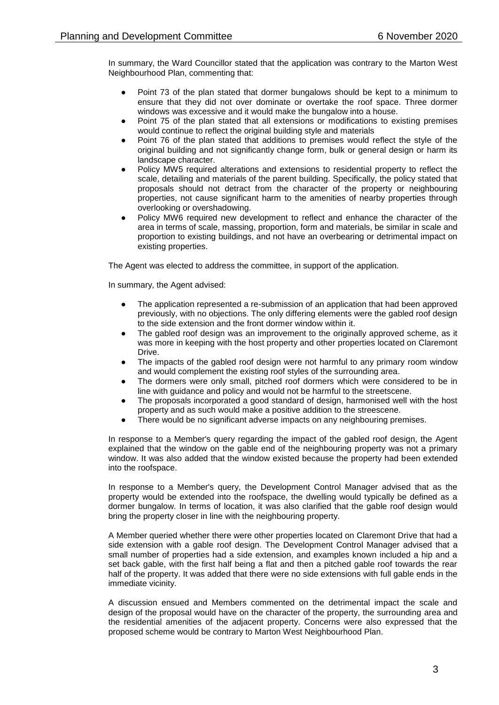In summary, the Ward Councillor stated that the application was contrary to the Marton West Neighbourhood Plan, commenting that:

- Point 73 of the plan stated that dormer bungalows should be kept to a minimum to ensure that they did not over dominate or overtake the roof space. Three dormer windows was excessive and it would make the bungalow into a house.
- Point 75 of the plan stated that all extensions or modifications to existing premises would continue to reflect the original building style and materials
- Point 76 of the plan stated that additions to premises would reflect the style of the original building and not significantly change form, bulk or general design or harm its landscape character.
- Policy MW5 required alterations and extensions to residential property to reflect the scale, detailing and materials of the parent building. Specifically, the policy stated that proposals should not detract from the character of the property or neighbouring properties, not cause significant harm to the amenities of nearby properties through overlooking or overshadowing.
- Policy MW6 required new development to reflect and enhance the character of the area in terms of scale, massing, proportion, form and materials, be similar in scale and proportion to existing buildings, and not have an overbearing or detrimental impact on existing properties.

The Agent was elected to address the committee, in support of the application.

In summary, the Agent advised:

- The application represented a re-submission of an application that had been approved previously, with no objections. The only differing elements were the gabled roof design to the side extension and the front dormer window within it.
- The gabled roof design was an improvement to the originally approved scheme, as it was more in keeping with the host property and other properties located on Claremont Drive.
- The impacts of the gabled roof design were not harmful to any primary room window and would complement the existing roof styles of the surrounding area.
- The dormers were only small, pitched roof dormers which were considered to be in line with guidance and policy and would not be harmful to the streetscene.
- The proposals incorporated a good standard of design, harmonised well with the host property and as such would make a positive addition to the streescene.
- There would be no significant adverse impacts on any neighbouring premises.

In response to a Member's query regarding the impact of the gabled roof design, the Agent explained that the window on the gable end of the neighbouring property was not a primary window. It was also added that the window existed because the property had been extended into the roofspace.

In response to a Member's query, the Development Control Manager advised that as the property would be extended into the roofspace, the dwelling would typically be defined as a dormer bungalow. In terms of location, it was also clarified that the gable roof design would bring the property closer in line with the neighbouring property.

A Member queried whether there were other properties located on Claremont Drive that had a side extension with a gable roof design. The Development Control Manager advised that a small number of properties had a side extension, and examples known included a hip and a set back gable, with the first half being a flat and then a pitched gable roof towards the rear half of the property. It was added that there were no side extensions with full gable ends in the immediate vicinity.

A discussion ensued and Members commented on the detrimental impact the scale and design of the proposal would have on the character of the property, the surrounding area and the residential amenities of the adjacent property. Concerns were also expressed that the proposed scheme would be contrary to Marton West Neighbourhood Plan.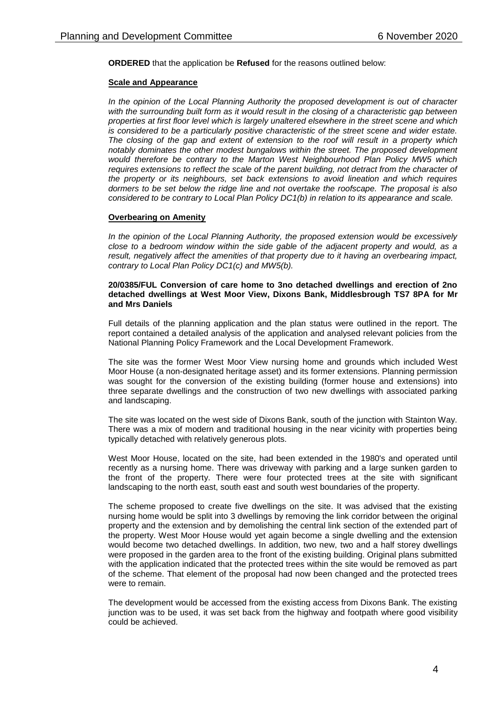**ORDERED** that the application be **Refused** for the reasons outlined below:

## **Scale and Appearance**

*In the opinion of the Local Planning Authority the proposed development is out of character*  with the surrounding built form as it would result in the closing of a characteristic gap between *properties at first floor level which is largely unaltered elsewhere in the street scene and which is considered to be a particularly positive characteristic of the street scene and wider estate. The closing of the gap and extent of extension to the roof will result in a property which notably dominates the other modest bungalows within the street. The proposed development would therefore be contrary to the Marton West Neighbourhood Plan Policy MW5 which requires extensions to reflect the scale of the parent building, not detract from the character of the property or its neighbours, set back extensions to avoid lineation and which requires dormers to be set below the ridge line and not overtake the roofscape. The proposal is also considered to be contrary to Local Plan Policy DC1(b) in relation to its appearance and scale.*

## **Overbearing on Amenity**

*In the opinion of the Local Planning Authority, the proposed extension would be excessively close to a bedroom window within the side gable of the adjacent property and would, as a result, negatively affect the amenities of that property due to it having an overbearing impact, contrary to Local Plan Policy DC1(c) and MW5(b).*

#### **20/0385/FUL Conversion of care home to 3no detached dwellings and erection of 2no detached dwellings at West Moor View, Dixons Bank, Middlesbrough TS7 8PA for Mr and Mrs Daniels**

Full details of the planning application and the plan status were outlined in the report. The report contained a detailed analysis of the application and analysed relevant policies from the National Planning Policy Framework and the Local Development Framework.

The site was the former West Moor View nursing home and grounds which included West Moor House (a non-designated heritage asset) and its former extensions. Planning permission was sought for the conversion of the existing building (former house and extensions) into three separate dwellings and the construction of two new dwellings with associated parking and landscaping.

The site was located on the west side of Dixons Bank, south of the junction with Stainton Way. There was a mix of modern and traditional housing in the near vicinity with properties being typically detached with relatively generous plots.

West Moor House, located on the site, had been extended in the 1980's and operated until recently as a nursing home. There was driveway with parking and a large sunken garden to the front of the property. There were four protected trees at the site with significant landscaping to the north east, south east and south west boundaries of the property.

The scheme proposed to create five dwellings on the site. It was advised that the existing nursing home would be split into 3 dwellings by removing the link corridor between the original property and the extension and by demolishing the central link section of the extended part of the property. West Moor House would yet again become a single dwelling and the extension would become two detached dwellings. In addition, two new, two and a half storey dwellings were proposed in the garden area to the front of the existing building. Original plans submitted with the application indicated that the protected trees within the site would be removed as part of the scheme. That element of the proposal had now been changed and the protected trees were to remain

The development would be accessed from the existing access from Dixons Bank. The existing junction was to be used, it was set back from the highway and footpath where good visibility could be achieved.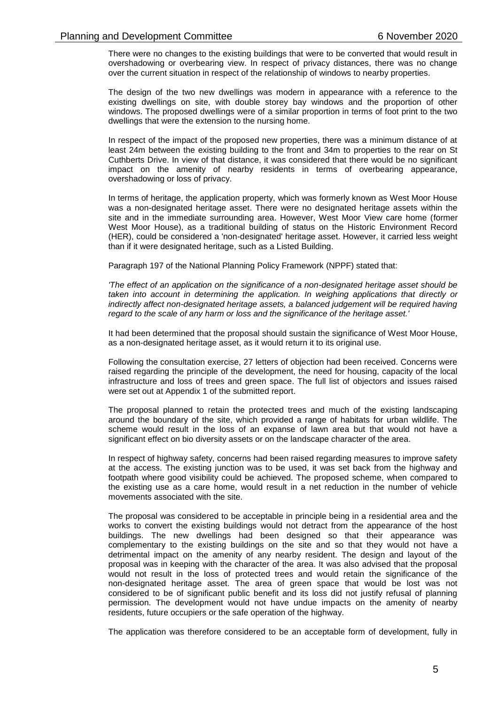There were no changes to the existing buildings that were to be converted that would result in overshadowing or overbearing view. In respect of privacy distances, there was no change over the current situation in respect of the relationship of windows to nearby properties.

The design of the two new dwellings was modern in appearance with a reference to the existing dwellings on site, with double storey bay windows and the proportion of other windows. The proposed dwellings were of a similar proportion in terms of foot print to the two dwellings that were the extension to the nursing home.

In respect of the impact of the proposed new properties, there was a minimum distance of at least 24m between the existing building to the front and 34m to properties to the rear on St Cuthberts Drive. In view of that distance, it was considered that there would be no significant impact on the amenity of nearby residents in terms of overbearing appearance, overshadowing or loss of privacy.

In terms of heritage, the application property, which was formerly known as West Moor House was a non-designated heritage asset. There were no designated heritage assets within the site and in the immediate surrounding area. However, West Moor View care home (former West Moor House), as a traditional building of status on the Historic Environment Record (HER), could be considered a 'non-designated' heritage asset. However, it carried less weight than if it were designated heritage, such as a Listed Building.

Paragraph 197 of the National Planning Policy Framework (NPPF) stated that:

*'The effect of an application on the significance of a non-designated heritage asset should be*  taken into account in determining the application. In weighing applications that directly or *indirectly affect non-designated heritage assets, a balanced judgement will be required having regard to the scale of any harm or loss and the significance of the heritage asset.'*

It had been determined that the proposal should sustain the significance of West Moor House, as a non-designated heritage asset, as it would return it to its original use.

Following the consultation exercise, 27 letters of objection had been received. Concerns were raised regarding the principle of the development, the need for housing, capacity of the local infrastructure and loss of trees and green space. The full list of objectors and issues raised were set out at Appendix 1 of the submitted report.

The proposal planned to retain the protected trees and much of the existing landscaping around the boundary of the site, which provided a range of habitats for urban wildlife. The scheme would result in the loss of an expanse of lawn area but that would not have a significant effect on bio diversity assets or on the landscape character of the area.

In respect of highway safety, concerns had been raised regarding measures to improve safety at the access. The existing junction was to be used, it was set back from the highway and footpath where good visibility could be achieved. The proposed scheme, when compared to the existing use as a care home, would result in a net reduction in the number of vehicle movements associated with the site.

The proposal was considered to be acceptable in principle being in a residential area and the works to convert the existing buildings would not detract from the appearance of the host buildings. The new dwellings had been designed so that their appearance was complementary to the existing buildings on the site and so that they would not have a detrimental impact on the amenity of any nearby resident. The design and layout of the proposal was in keeping with the character of the area. It was also advised that the proposal would not result in the loss of protected trees and would retain the significance of the non-designated heritage asset. The area of green space that would be lost was not considered to be of significant public benefit and its loss did not justify refusal of planning permission. The development would not have undue impacts on the amenity of nearby residents, future occupiers or the safe operation of the highway.

The application was therefore considered to be an acceptable form of development, fully in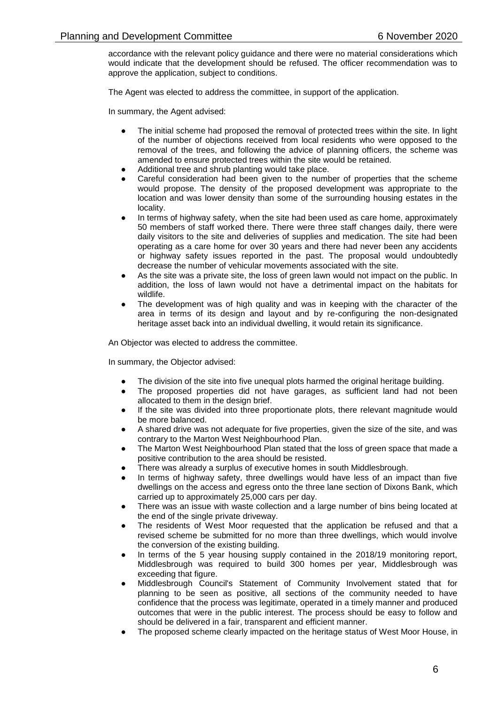accordance with the relevant policy guidance and there were no material considerations which would indicate that the development should be refused. The officer recommendation was to approve the application, subject to conditions.

The Agent was elected to address the committee, in support of the application.

In summary, the Agent advised:

- The initial scheme had proposed the removal of protected trees within the site. In light of the number of objections received from local residents who were opposed to the removal of the trees, and following the advice of planning officers, the scheme was amended to ensure protected trees within the site would be retained.
- Additional tree and shrub planting would take place.
- Careful consideration had been given to the number of properties that the scheme would propose. The density of the proposed development was appropriate to the location and was lower density than some of the surrounding housing estates in the locality.
- In terms of highway safety, when the site had been used as care home, approximately 50 members of staff worked there. There were three staff changes daily, there were daily visitors to the site and deliveries of supplies and medication. The site had been operating as a care home for over 30 years and there had never been any accidents or highway safety issues reported in the past. The proposal would undoubtedly decrease the number of vehicular movements associated with the site.
- As the site was a private site, the loss of green lawn would not impact on the public. In addition, the loss of lawn would not have a detrimental impact on the habitats for wildlife.
- The development was of high quality and was in keeping with the character of the area in terms of its design and layout and by re-configuring the non-designated heritage asset back into an individual dwelling, it would retain its significance.

An Objector was elected to address the committee.

In summary, the Objector advised:

- The division of the site into five unequal plots harmed the original heritage building.
- The proposed properties did not have garages, as sufficient land had not been allocated to them in the design brief.
- If the site was divided into three proportionate plots, there relevant magnitude would be more balanced.
- A shared drive was not adequate for five properties, given the size of the site, and was contrary to the Marton West Neighbourhood Plan.
- The Marton West Neighbourhood Plan stated that the loss of green space that made a positive contribution to the area should be resisted.
- There was already a surplus of executive homes in south Middlesbrough.
- In terms of highway safety, three dwellings would have less of an impact than five dwellings on the access and egress onto the three lane section of Dixons Bank, which carried up to approximately 25,000 cars per day.
- There was an issue with waste collection and a large number of bins being located at the end of the single private driveway.
- The residents of West Moor requested that the application be refused and that a revised scheme be submitted for no more than three dwellings, which would involve the conversion of the existing building.
- In terms of the 5 year housing supply contained in the 2018/19 monitoring report, Middlesbrough was required to build 300 homes per year, Middlesbrough was exceeding that figure.
- Middlesbrough Council's Statement of Community Involvement stated that for planning to be seen as positive, all sections of the community needed to have confidence that the process was legitimate, operated in a timely manner and produced outcomes that were in the public interest. The process should be easy to follow and should be delivered in a fair, transparent and efficient manner.
- The proposed scheme clearly impacted on the heritage status of West Moor House, in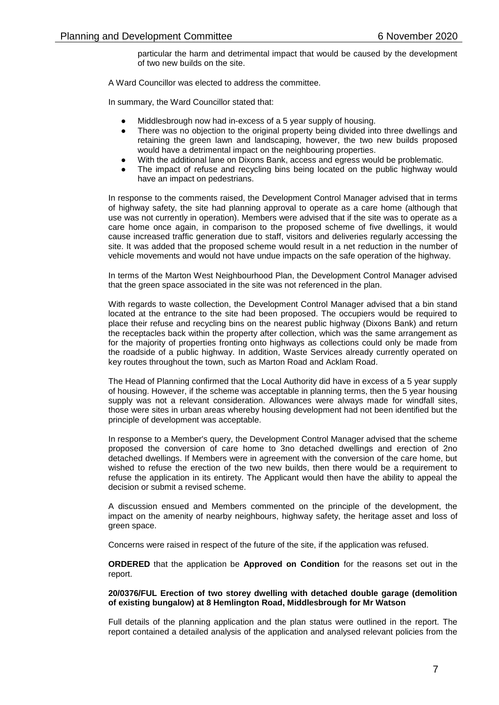particular the harm and detrimental impact that would be caused by the development of two new builds on the site.

A Ward Councillor was elected to address the committee.

In summary, the Ward Councillor stated that:

- Middlesbrough now had in-excess of a 5 year supply of housing.
- There was no objection to the original property being divided into three dwellings and retaining the green lawn and landscaping, however, the two new builds proposed would have a detrimental impact on the neighbouring properties.
- With the additional lane on Dixons Bank, access and egress would be problematic.
- The impact of refuse and recycling bins being located on the public highway would have an impact on pedestrians.

In response to the comments raised, the Development Control Manager advised that in terms of highway safety, the site had planning approval to operate as a care home (although that use was not currently in operation). Members were advised that if the site was to operate as a care home once again, in comparison to the proposed scheme of five dwellings, it would cause increased traffic generation due to staff, visitors and deliveries regularly accessing the site. It was added that the proposed scheme would result in a net reduction in the number of vehicle movements and would not have undue impacts on the safe operation of the highway.

In terms of the Marton West Neighbourhood Plan, the Development Control Manager advised that the green space associated in the site was not referenced in the plan.

With regards to waste collection, the Development Control Manager advised that a bin stand located at the entrance to the site had been proposed. The occupiers would be required to place their refuse and recycling bins on the nearest public highway (Dixons Bank) and return the receptacles back within the property after collection, which was the same arrangement as for the majority of properties fronting onto highways as collections could only be made from the roadside of a public highway. In addition, Waste Services already currently operated on key routes throughout the town, such as Marton Road and Acklam Road.

The Head of Planning confirmed that the Local Authority did have in excess of a 5 year supply of housing. However, if the scheme was acceptable in planning terms, then the 5 year housing supply was not a relevant consideration. Allowances were always made for windfall sites, those were sites in urban areas whereby housing development had not been identified but the principle of development was acceptable.

In response to a Member's query, the Development Control Manager advised that the scheme proposed the conversion of care home to 3no detached dwellings and erection of 2no detached dwellings. If Members were in agreement with the conversion of the care home, but wished to refuse the erection of the two new builds, then there would be a requirement to refuse the application in its entirety. The Applicant would then have the ability to appeal the decision or submit a revised scheme.

A discussion ensued and Members commented on the principle of the development, the impact on the amenity of nearby neighbours, highway safety, the heritage asset and loss of green space.

Concerns were raised in respect of the future of the site, if the application was refused.

**ORDERED** that the application be **Approved on Condition** for the reasons set out in the report.

#### **20/0376/FUL Erection of two storey dwelling with detached double garage (demolition of existing bungalow) at 8 Hemlington Road, Middlesbrough for Mr Watson**

Full details of the planning application and the plan status were outlined in the report. The report contained a detailed analysis of the application and analysed relevant policies from the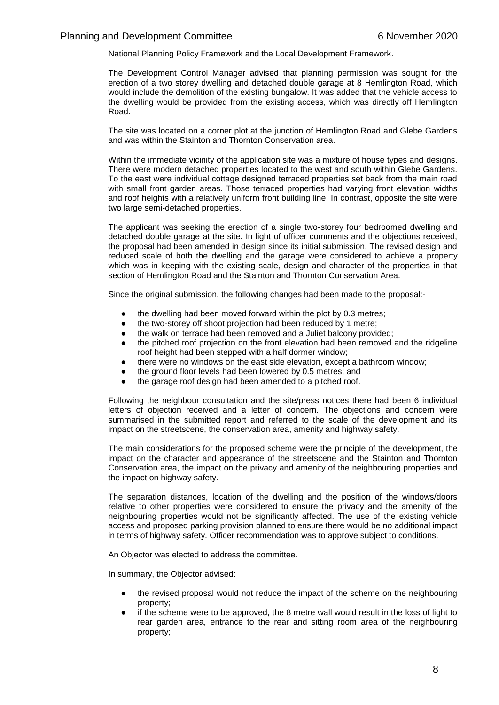National Planning Policy Framework and the Local Development Framework.

The Development Control Manager advised that planning permission was sought for the erection of a two storey dwelling and detached double garage at 8 Hemlington Road, which would include the demolition of the existing bungalow. It was added that the vehicle access to the dwelling would be provided from the existing access, which was directly off Hemlington Road.

The site was located on a corner plot at the junction of Hemlington Road and Glebe Gardens and was within the Stainton and Thornton Conservation area.

Within the immediate vicinity of the application site was a mixture of house types and designs. There were modern detached properties located to the west and south within Glebe Gardens. To the east were individual cottage designed terraced properties set back from the main road with small front garden areas. Those terraced properties had varying front elevation widths and roof heights with a relatively uniform front building line. In contrast, opposite the site were two large semi-detached properties.

The applicant was seeking the erection of a single two-storey four bedroomed dwelling and detached double garage at the site. In light of officer comments and the objections received, the proposal had been amended in design since its initial submission. The revised design and reduced scale of both the dwelling and the garage were considered to achieve a property which was in keeping with the existing scale, design and character of the properties in that section of Hemlington Road and the Stainton and Thornton Conservation Area.

Since the original submission, the following changes had been made to the proposal:-

- the dwelling had been moved forward within the plot by 0.3 metres;
- the two-storey off shoot projection had been reduced by 1 metre;
- the walk on terrace had been removed and a Juliet balcony provided;
- the pitched roof projection on the front elevation had been removed and the ridgeline roof height had been stepped with a half dormer window;
- there were no windows on the east side elevation, except a bathroom window;
- the ground floor levels had been lowered by 0.5 metres; and
- the garage roof design had been amended to a pitched roof.

Following the neighbour consultation and the site/press notices there had been 6 individual letters of objection received and a letter of concern. The objections and concern were summarised in the submitted report and referred to the scale of the development and its impact on the streetscene, the conservation area, amenity and highway safety.

The main considerations for the proposed scheme were the principle of the development, the impact on the character and appearance of the streetscene and the Stainton and Thornton Conservation area, the impact on the privacy and amenity of the neighbouring properties and the impact on highway safety.

The separation distances, location of the dwelling and the position of the windows/doors relative to other properties were considered to ensure the privacy and the amenity of the neighbouring properties would not be significantly affected. The use of the existing vehicle access and proposed parking provision planned to ensure there would be no additional impact in terms of highway safety. Officer recommendation was to approve subject to conditions.

An Objector was elected to address the committee.

In summary, the Objector advised:

- the revised proposal would not reduce the impact of the scheme on the neighbouring property;
- if the scheme were to be approved, the 8 metre wall would result in the loss of light to rear garden area, entrance to the rear and sitting room area of the neighbouring property;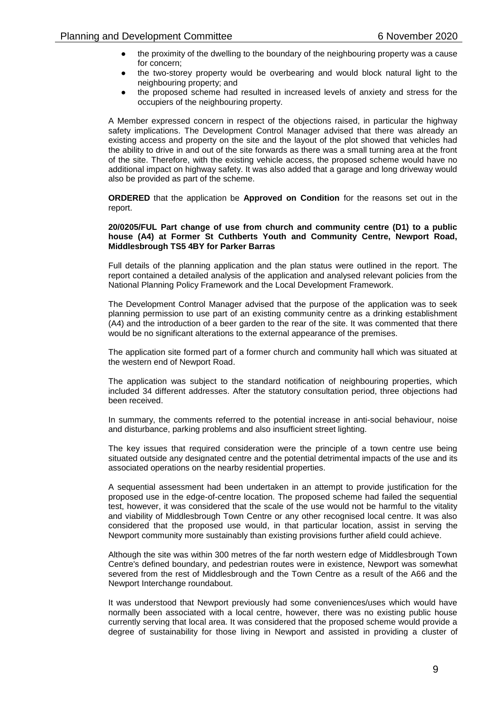- the proximity of the dwelling to the boundary of the neighbouring property was a cause for concern;
- the two-storey property would be overbearing and would block natural light to the neighbouring property; and
- the proposed scheme had resulted in increased levels of anxiety and stress for the occupiers of the neighbouring property.

A Member expressed concern in respect of the objections raised, in particular the highway safety implications. The Development Control Manager advised that there was already an existing access and property on the site and the layout of the plot showed that vehicles had the ability to drive in and out of the site forwards as there was a small turning area at the front of the site. Therefore, with the existing vehicle access, the proposed scheme would have no additional impact on highway safety. It was also added that a garage and long driveway would also be provided as part of the scheme.

**ORDERED** that the application be **Approved on Condition** for the reasons set out in the report.

#### **20/0205/FUL Part change of use from church and community centre (D1) to a public house (A4) at Former St Cuthberts Youth and Community Centre, Newport Road, Middlesbrough TS5 4BY for Parker Barras**

Full details of the planning application and the plan status were outlined in the report. The report contained a detailed analysis of the application and analysed relevant policies from the National Planning Policy Framework and the Local Development Framework.

The Development Control Manager advised that the purpose of the application was to seek planning permission to use part of an existing community centre as a drinking establishment (A4) and the introduction of a beer garden to the rear of the site. It was commented that there would be no significant alterations to the external appearance of the premises.

The application site formed part of a former church and community hall which was situated at the western end of Newport Road.

The application was subject to the standard notification of neighbouring properties, which included 34 different addresses. After the statutory consultation period, three objections had been received.

In summary, the comments referred to the potential increase in anti-social behaviour, noise and disturbance, parking problems and also insufficient street lighting.

The key issues that required consideration were the principle of a town centre use being situated outside any designated centre and the potential detrimental impacts of the use and its associated operations on the nearby residential properties.

A sequential assessment had been undertaken in an attempt to provide justification for the proposed use in the edge-of-centre location. The proposed scheme had failed the sequential test, however, it was considered that the scale of the use would not be harmful to the vitality and viability of Middlesbrough Town Centre or any other recognised local centre. It was also considered that the proposed use would, in that particular location, assist in serving the Newport community more sustainably than existing provisions further afield could achieve.

Although the site was within 300 metres of the far north western edge of Middlesbrough Town Centre's defined boundary, and pedestrian routes were in existence, Newport was somewhat severed from the rest of Middlesbrough and the Town Centre as a result of the A66 and the Newport Interchange roundabout.

It was understood that Newport previously had some conveniences/uses which would have normally been associated with a local centre, however, there was no existing public house currently serving that local area. It was considered that the proposed scheme would provide a degree of sustainability for those living in Newport and assisted in providing a cluster of